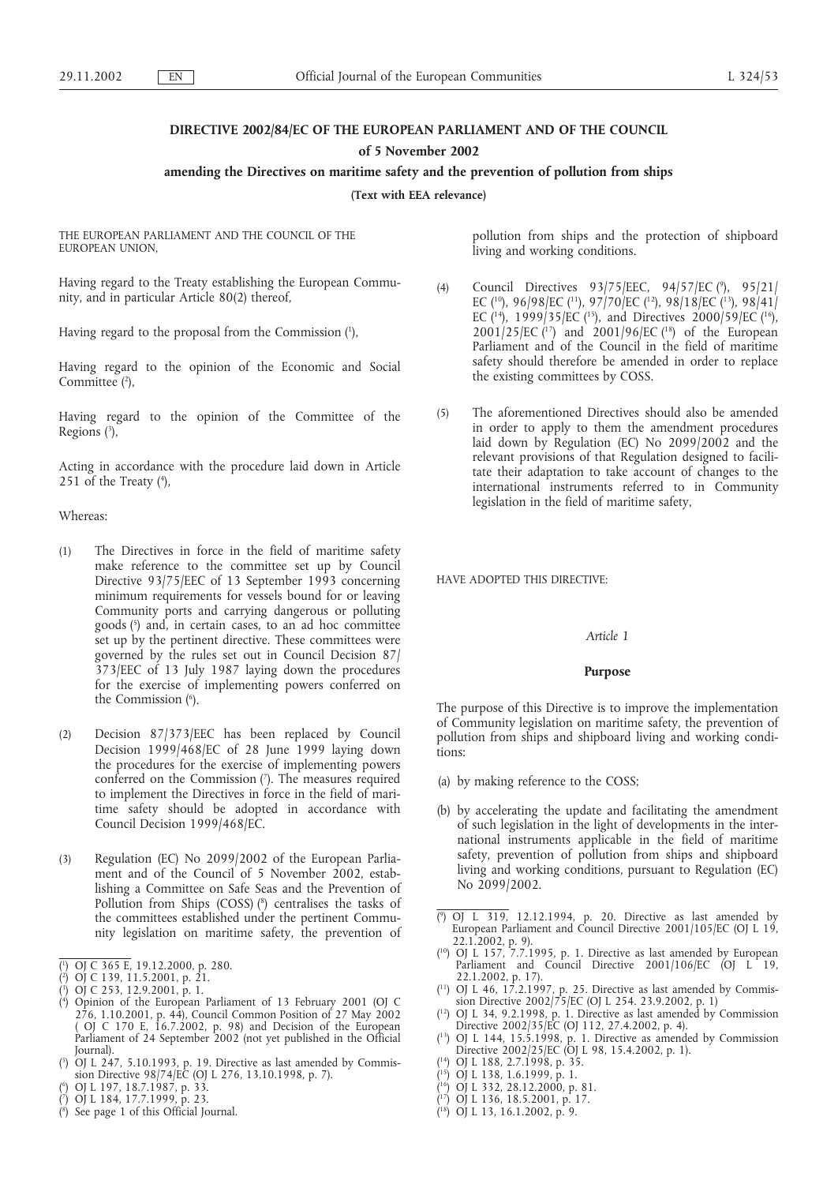# **DIRECTIVE 2002/84/EC OF THE EUROPEAN PARLIAMENT AND OF THE COUNCIL**

**of 5 November 2002**

#### **amending the Directives on maritime safety and the prevention of pollution from ships**

**(Text with EEA relevance)**

THE EUROPEAN PARLIAMENT AND THE COUNCIL OF THE EUROPEAN UNION,

Having regard to the Treaty establishing the European Community, and in particular Article 80(2) thereof,

Having regard to the proposal from the Commission (1 ),

Having regard to the opinion of the Economic and Social Committee (2),

Having regard to the opinion of the Committee of the Regions (3),

Acting in accordance with the procedure laid down in Article 251 of the Treaty  $(4)$ ,

# Whereas:

- (1) The Directives in force in the field of maritime safety make reference to the committee set up by Council Directive 93/75/EEC of 13 September 1993 concerning minimum requirements for vessels bound for or leaving Community ports and carrying dangerous or polluting goods (5 ) and, in certain cases, to an ad hoc committee set up by the pertinent directive. These committees were governed by the rules set out in Council Decision 87/ 373/EEC of 13 July 1987 laying down the procedures for the exercise of implementing powers conferred on the Commission (6 ).
- (2) Decision 87/373/EEC has been replaced by Council Decision 1999/468/EC of 28 June 1999 laying down the procedures for the exercise of implementing powers conferred on the Commission (7). The measures required to implement the Directives in force in the field of maritime safety should be adopted in accordance with Council Decision 1999/468/EC.
- (3) Regulation (EC) No 2099/2002 of the European Parliament and of the Council of 5 November 2002, establishing a Committee on Safe Seas and the Prevention of Pollution from Ships (COSS) (8) centralises the tasks of the committees established under the pertinent Community legislation on maritime safety, the prevention of
- ( 1 ) OJ C 365 E, 19.12.2000, p. 280.
- ( 2 ) OJ C 139, 11.5.2001, p. 21.
- ( 3 ) OJ C 253, 12.9.2001, p. 1.
- ( 4 ) Opinion of the European Parliament of 13 February 2001 (OJ C 276, 1.10.2001, p. 44), Council Common Position of 27 May 2002 ( OJ C 170 E, 16.7.2002, p. 98) and Decision of the European Parliament of 24 September 2002 (not yet published in the Official Journal).
- ( 5 ) OJ L 247, 5.10.1993, p. 19. Directive as last amended by Commission Directive 98/74/EC (OJ L 276, 13.10.1998, p. 7).
- ( 6 ) OJ L 197, 18.7.1987, p. 33.
- ( 7 ) OJ L 184, 17.7.1999, p. 23.
- ( 8 ) See page 1 of this Official Journal.

pollution from ships and the protection of shipboard living and working conditions.

- (4) Council Directives 93/75/EEC, 94/57/EC (9 ), 95/21/ EC ( $^{10}$ ), 96/98/EC ( $^{11}$ ), 97/70/EC ( $^{12}$ ), 98/18/EC ( $^{13}$ ), 98/41/ EC ( $^{14}$ ), 1999/35/EC ( $^{15}$ ), and Directives 2000/59/EC ( $^{16}$ ), 2001/25/EC  $(^{17})$  and 2001/96/EC  $(^{18})$  of the European Parliament and of the Council in the field of maritime safety should therefore be amended in order to replace the existing committees by COSS.
- (5) The aforementioned Directives should also be amended in order to apply to them the amendment procedures laid down by Regulation (EC) No 2099/2002 and the relevant provisions of that Regulation designed to facilitate their adaptation to take account of changes to the international instruments referred to in Community legislation in the field of maritime safety,

HAVE ADOPTED THIS DIRECTIVE:

#### *Article 1*

# **Purpose**

The purpose of this Directive is to improve the implementation of Community legislation on maritime safety, the prevention of pollution from ships and shipboard living and working conditions:

- (a) by making reference to the COSS;
- (b) by accelerating the update and facilitating the amendment of such legislation in the light of developments in the international instruments applicable in the field of maritime safety, prevention of pollution from ships and shipboard living and working conditions, pursuant to Regulation (EC) No 2099/2002.
- ( 9 ) OJ L 319, 12.12.1994, p. 20. Directive as last amended by European Parliament and Council Directive 2001/105/EC (OJ L 19, 22.1.2002, p. 9).
- $(^{10}$ ) OJ L 157, 7.7.1995, p. 1. Directive as last amended by European Parliament and Council Directive 2001/106/EC (OJ L 19, 22.1.2002, p. 17).
- $(1)$  OJ L 46, 17.2.1997, p. 25. Directive as last amended by Commission Directive 2002/75/EC (OJ L 254. 23.9.2002, p. 1)
- $(^{12})$  OJ L 34, 9.2.1998, p. 1. Directive as last amended by Commission Directive 2002/35/EC (OJ 112, 27.4.2002, p. 4).
- $(13)$  OJ L 144, 15.5.1998, p. 1. Directive as amended by Commission Directive 2002/25/EC (OJ L 98, 15.4.2002, p. 1).
- ( 14) OJ L 188, 2.7.1998, p. 35.
- ( 15) OJ L 138, 1.6.1999, p. 1.
- ( 16) OJ L 332, 28.12.2000, p. 81.
- ( 17) OJ L 136, 18.5.2001, p. 17.
- ( 18) OJ L 13, 16.1.2002, p. 9.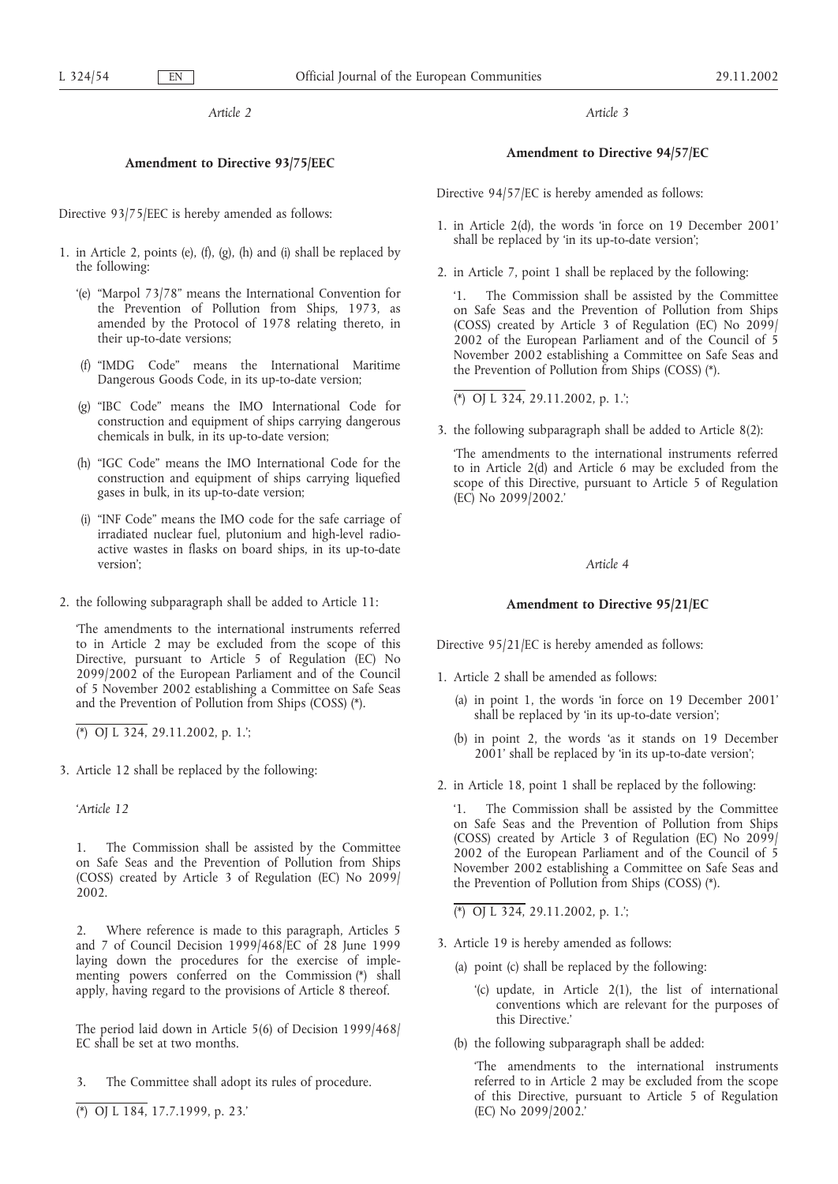*Article 2*

# **Amendment to Directive 93/75/EEC**

Directive 93/75/EEC is hereby amended as follows:

- 1. in Article 2, points (e), (f), (g), (h) and (i) shall be replaced by the following:
	- '(e) "Marpol 73/78" means the International Convention for the Prevention of Pollution from Ships, 1973, as amended by the Protocol of 1978 relating thereto, in their up-to-date versions;
	- (f) "IMDG Code" means the International Maritime Dangerous Goods Code, in its up-to-date version;
	- (g) "IBC Code" means the IMO International Code for construction and equipment of ships carrying dangerous chemicals in bulk, in its up-to-date version;
	- (h) "IGC Code" means the IMO International Code for the construction and equipment of ships carrying liquefied gases in bulk, in its up-to-date version;
	- (i) "INF Code" means the IMO code for the safe carriage of irradiated nuclear fuel, plutonium and high-level radioactive wastes in flasks on board ships, in its up-to-date version';
- 2. the following subparagraph shall be added to Article 11:

'The amendments to the international instruments referred to in Article 2 may be excluded from the scope of this Directive, pursuant to Article 5 of Regulation (EC) No 2099/2002 of the European Parliament and of the Council of 5 November 2002 establishing a Committee on Safe Seas and the Prevention of Pollution from Ships (COSS) (\*).

(\*) OJ L 324, 29.11.2002, p. 1.';

3. Article 12 shall be replaced by the following:

*'Article 12*

1. The Commission shall be assisted by the Committee on Safe Seas and the Prevention of Pollution from Ships (COSS) created by Article 3 of Regulation (EC) No 2099/ 2002.

2. Where reference is made to this paragraph, Articles 5 and 7 of Council Decision 1999/468/EC of 28 June 1999 laying down the procedures for the exercise of implementing powers conferred on the Commission (\*) shall apply, having regard to the provisions of Article 8 thereof.

The period laid down in Article 5(6) of Decision 1999/468/ EC shall be set at two months.

- 3. The Committee shall adopt its rules of procedure.
- (\*) OJ L 184, 17.7.1999, p. 23.'

*Article 3*

# **Amendment to Directive 94/57/EC**

Directive 94/57/EC is hereby amended as follows:

- 1. in Article 2(d), the words 'in force on 19 December 2001' shall be replaced by 'in its up-to-date version';
- 2. in Article 7, point 1 shall be replaced by the following:

'1. The Commission shall be assisted by the Committee on Safe Seas and the Prevention of Pollution from Ships (COSS) created by Article 3 of Regulation (EC) No 2099/ 2002 of the European Parliament and of the Council of 5 November 2002 establishing a Committee on Safe Seas and the Prevention of Pollution from Ships (COSS) (\*).

(\*) OJ L 324, 29.11.2002, p. 1.';

3. the following subparagraph shall be added to Article 8(2):

'The amendments to the international instruments referred to in Article 2(d) and Article 6 may be excluded from the scope of this Directive, pursuant to Article 5 of Regulation (EC) No 2099/2002.'

#### *Article 4*

# **Amendment to Directive 95/21/EC**

Directive 95/21/EC is hereby amended as follows:

- 1. Article 2 shall be amended as follows:
	- (a) in point 1, the words 'in force on 19 December 2001' shall be replaced by 'in its up-to-date version';
	- (b) in point 2, the words 'as it stands on 19 December 2001' shall be replaced by 'in its up-to-date version';
- 2. in Article 18, point 1 shall be replaced by the following:

The Commission shall be assisted by the Committee on Safe Seas and the Prevention of Pollution from Ships (COSS) created by Article 3 of Regulation (EC) No 2099/ 2002 of the European Parliament and of the Council of 5 November 2002 establishing a Committee on Safe Seas and the Prevention of Pollution from Ships (COSS) (\*).

(\*) OJ L 324, 29.11.2002, p. 1.';

- 3. Article 19 is hereby amended as follows:
	- (a) point (c) shall be replaced by the following:
		- '(c) update, in Article 2(1), the list of international conventions which are relevant for the purposes of this Directive.'
	- (b) the following subparagraph shall be added:

'The amendments to the international instruments referred to in Article 2 may be excluded from the scope of this Directive, pursuant to Article 5 of Regulation (EC) No 2099/2002.'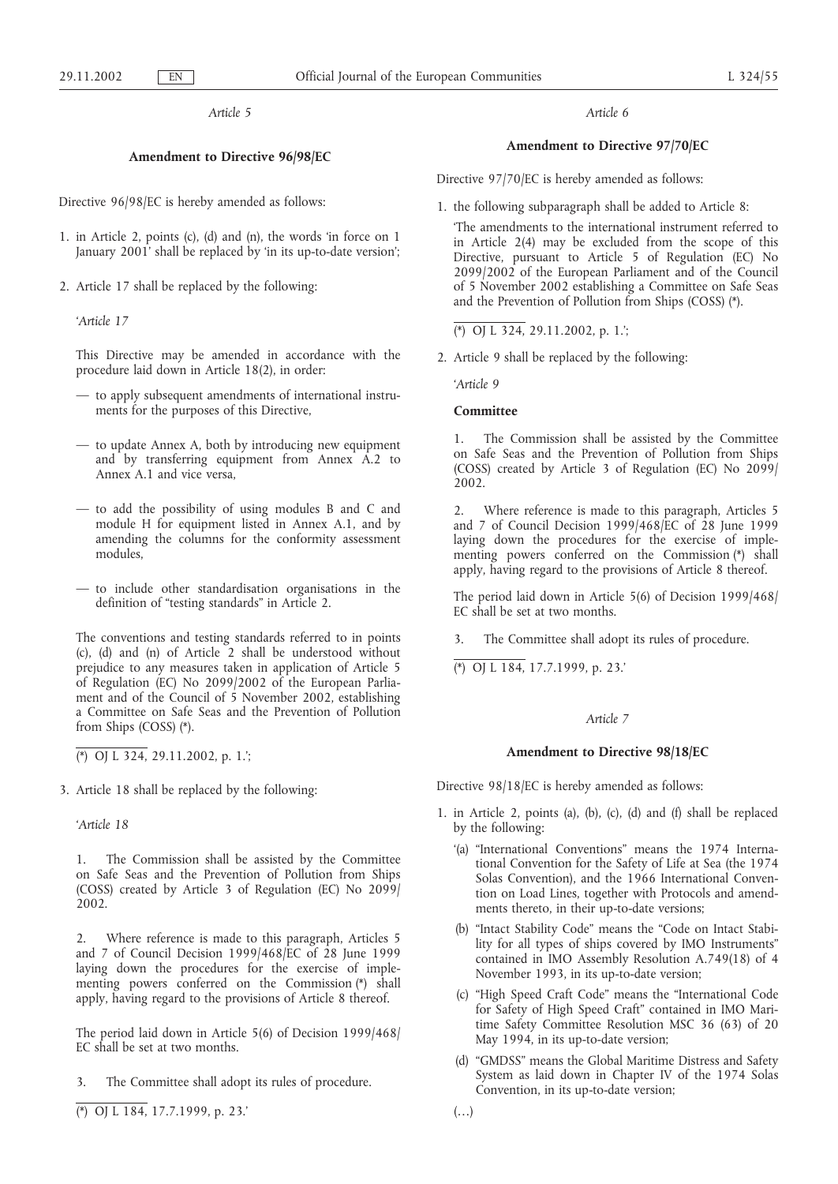*Article 5*

### **Amendment to Directive 96/98/EC**

Directive 96/98/EC is hereby amended as follows:

- 1. in Article 2, points (c), (d) and (n), the words 'in force on 1 January 2001' shall be replaced by 'in its up-to-date version';
- 2. Article 17 shall be replaced by the following:

*'Article 17*

This Directive may be amended in accordance with the procedure laid down in Article 18(2), in order:

- to apply subsequent amendments of international instruments for the purposes of this Directive,
- to update Annex A, both by introducing new equipment and by transferring equipment from Annex A.2 to Annex A.1 and vice versa,
- to add the possibility of using modules B and C and module H for equipment listed in Annex A.1, and by amending the columns for the conformity assessment modules,
- to include other standardisation organisations in the definition of "testing standards" in Article 2.

The conventions and testing standards referred to in points (c), (d) and (n) of Article 2 shall be understood without prejudice to any measures taken in application of Article 5 of Regulation (EC) No 2099/2002 of the European Parliament and of the Council of 5 November 2002, establishing a Committee on Safe Seas and the Prevention of Pollution from Ships (COSS) (\*).

(\*) OJ L 324, 29.11.2002, p. 1.';

3. Article 18 shall be replaced by the following:

*'Article 18*

The Commission shall be assisted by the Committee on Safe Seas and the Prevention of Pollution from Ships (COSS) created by Article 3 of Regulation (EC) No 2099/ 2002.

2. Where reference is made to this paragraph, Articles 5 and 7 of Council Decision 1999/468/EC of 28 June 1999 laying down the procedures for the exercise of implementing powers conferred on the Commission (\*) shall apply, having regard to the provisions of Article 8 thereof.

The period laid down in Article 5(6) of Decision 1999/468/ EC shall be set at two months.

- 3. The Committee shall adopt its rules of procedure.
- (\*) OJ L 184, 17.7.1999, p. 23.'

*Article 6*

# **Amendment to Directive 97/70/EC**

Directive 97/70/EC is hereby amended as follows:

1. the following subparagraph shall be added to Article 8:

'The amendments to the international instrument referred to in Article 2(4) may be excluded from the scope of this Directive, pursuant to Article 5 of Regulation (EC) No 2099/2002 of the European Parliament and of the Council of 5 November 2002 establishing a Committee on Safe Seas and the Prevention of Pollution from Ships (COSS) (\*).

(\*) OJ L 324, 29.11.2002, p. 1.';

2. Article 9 shall be replaced by the following:

*'Article 9*

# **Committee**

1. The Commission shall be assisted by the Committee on Safe Seas and the Prevention of Pollution from Ships (COSS) created by Article 3 of Regulation (EC) No 2099/ 2002.

2. Where reference is made to this paragraph, Articles 5 and 7 of Council Decision 1999/468/EC of 28 June 1999 laying down the procedures for the exercise of implementing powers conferred on the Commission (\*) shall apply, having regard to the provisions of Article 8 thereof.

The period laid down in Article 5(6) of Decision 1999/468/ EC shall be set at two months.

3. The Committee shall adopt its rules of procedure.

(\*) OJ L 184, 17.7.1999, p. 23.'

# *Article 7*

#### **Amendment to Directive 98/18/EC**

Directive 98/18/EC is hereby amended as follows:

- 1. in Article 2, points (a), (b), (c), (d) and (f) shall be replaced by the following:
	- '(a) "International Conventions" means the 1974 International Convention for the Safety of Life at Sea (the 1974 Solas Convention), and the 1966 International Convention on Load Lines, together with Protocols and amendments thereto, in their up-to-date versions;
	- (b) "Intact Stability Code" means the "Code on Intact Stability for all types of ships covered by IMO Instruments" contained in IMO Assembly Resolution A.749(18) of 4 November 1993, in its up-to-date version;
	- (c) "High Speed Craft Code" means the "International Code for Safety of High Speed Craft" contained in IMO Maritime Safety Committee Resolution MSC 36 (63) of 20 May 1994, in its up-to-date version;
	- (d) "GMDSS" means the Global Maritime Distress and Safety System as laid down in Chapter IV of the 1974 Solas Convention, in its up-to-date version;
	- $(\ldots)$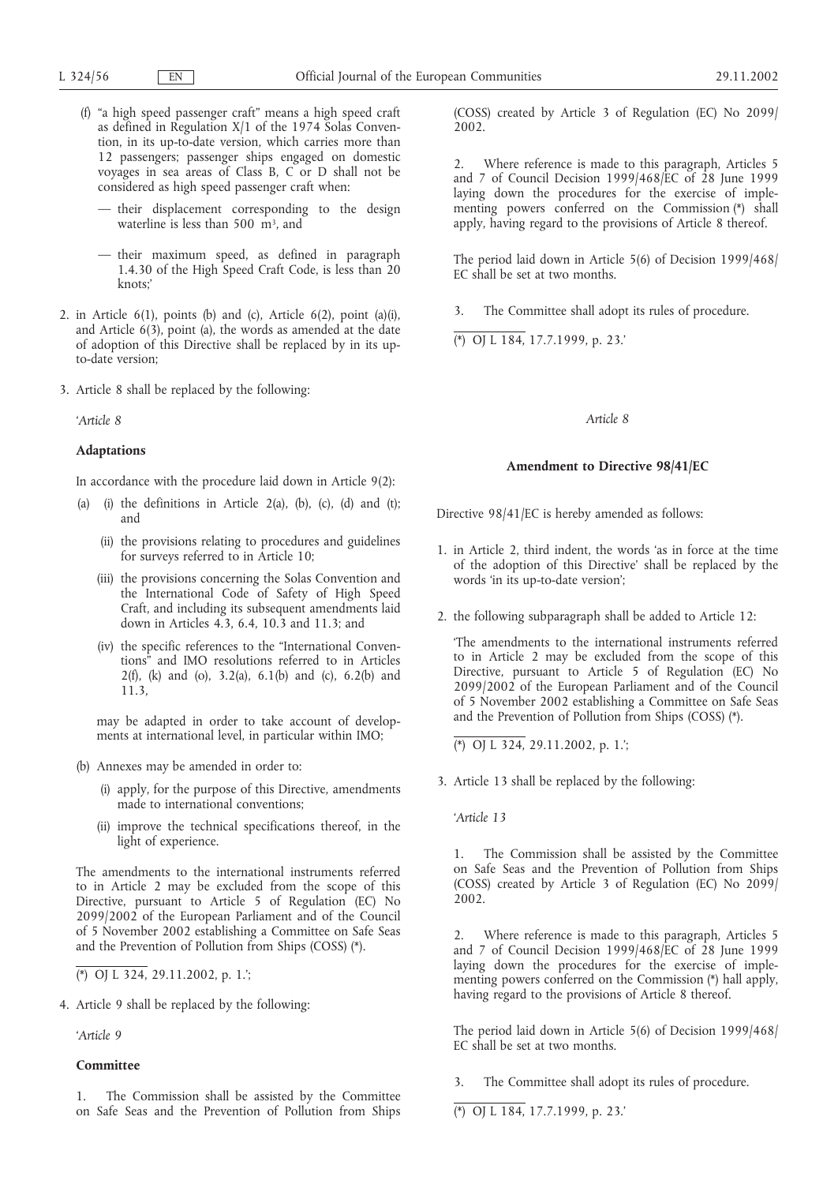- (f) "a high speed passenger craft" means a high speed craft as defined in Regulation X/1 of the 1974 Solas Convention, in its up-to-date version, which carries more than 12 passengers; passenger ships engaged on domestic voyages in sea areas of Class B, C or D shall not be considered as high speed passenger craft when:
	- their displacement corresponding to the design waterline is less than 500  $\overrightarrow{m}$ <sup>3</sup>, and
	- their maximum speed, as defined in paragraph 1.4.30 of the High Speed Craft Code, is less than 20 knots;'
- 2. in Article 6(1), points (b) and (c), Article 6(2), point (a)(i), and Article 6(3), point (a), the words as amended at the date of adoption of this Directive shall be replaced by in its upto-date version;
- 3. Article 8 shall be replaced by the following:

*'Article 8*

## **Adaptations**

In accordance with the procedure laid down in Article 9(2):

- (a) (i) the definitions in Article 2(a), (b), (c), (d) and (t); and
	- (ii) the provisions relating to procedures and guidelines for surveys referred to in Article 10;
	- (iii) the provisions concerning the Solas Convention and the International Code of Safety of High Speed Craft, and including its subsequent amendments laid down in Articles 4.3, 6.4, 10.3 and 11.3; and
	- (iv) the specific references to the "International Conventions" and IMO resolutions referred to in Articles 2(f), (k) and (o), 3.2(a), 6.1(b) and (c), 6.2(b) and 11.3,

may be adapted in order to take account of developments at international level, in particular within IMO;

- (b) Annexes may be amended in order to:
	- (i) apply, for the purpose of this Directive, amendments made to international conventions;
	- (ii) improve the technical specifications thereof, in the light of experience.

The amendments to the international instruments referred to in Article 2 may be excluded from the scope of this Directive, pursuant to Article 5 of Regulation (EC) No 2099/2002 of the European Parliament and of the Council of 5 November 2002 establishing a Committee on Safe Seas and the Prevention of Pollution from Ships (COSS) (\*).

4. Article 9 shall be replaced by the following:

*'Article 9*

# **Committee**

The Commission shall be assisted by the Committee on Safe Seas and the Prevention of Pollution from Ships (COSS) created by Article 3 of Regulation (EC) No 2099/ 2002.

2. Where reference is made to this paragraph, Articles 5 and 7 of Council Decision 1999/468/EC of 28 June 1999 laying down the procedures for the exercise of implementing powers conferred on the Commission (\*) shall apply, having regard to the provisions of Article 8 thereof.

The period laid down in Article 5(6) of Decision 1999/468/ EC shall be set at two months.

3. The Committee shall adopt its rules of procedure.

(\*) OJ L 184, 17.7.1999, p. 23.'

### *Article 8*

# **Amendment to Directive 98/41/EC**

Directive 98/41/EC is hereby amended as follows:

- 1. in Article 2, third indent, the words 'as in force at the time of the adoption of this Directive' shall be replaced by the words 'in its up-to-date version';
- 2. the following subparagraph shall be added to Article 12:

'The amendments to the international instruments referred to in Article 2 may be excluded from the scope of this Directive, pursuant to Article 5 of Regulation (EC) No 2099/2002 of the European Parliament and of the Council of 5 November 2002 establishing a Committee on Safe Seas and the Prevention of Pollution from Ships (COSS) (\*).

(\*) OJ L 324, 29.11.2002, p. 1.';

3. Article 13 shall be replaced by the following:

*'Article 13*

1. The Commission shall be assisted by the Committee on Safe Seas and the Prevention of Pollution from Ships (COSS) created by Article 3 of Regulation (EC) No 2099/ 2002.

2. Where reference is made to this paragraph, Articles 5 and 7 of Council Decision 1999/468/EC of 28 June 1999 laying down the procedures for the exercise of implementing powers conferred on the Commission (\*) hall apply, having regard to the provisions of Article 8 thereof.

The period laid down in Article 5(6) of Decision 1999/468/ EC shall be set at two months.

3. The Committee shall adopt its rules of procedure.

(\*) OJ L 184, 17.7.1999, p. 23.'

<sup>(\*)</sup> OJ L 324, 29.11.2002, p. 1.';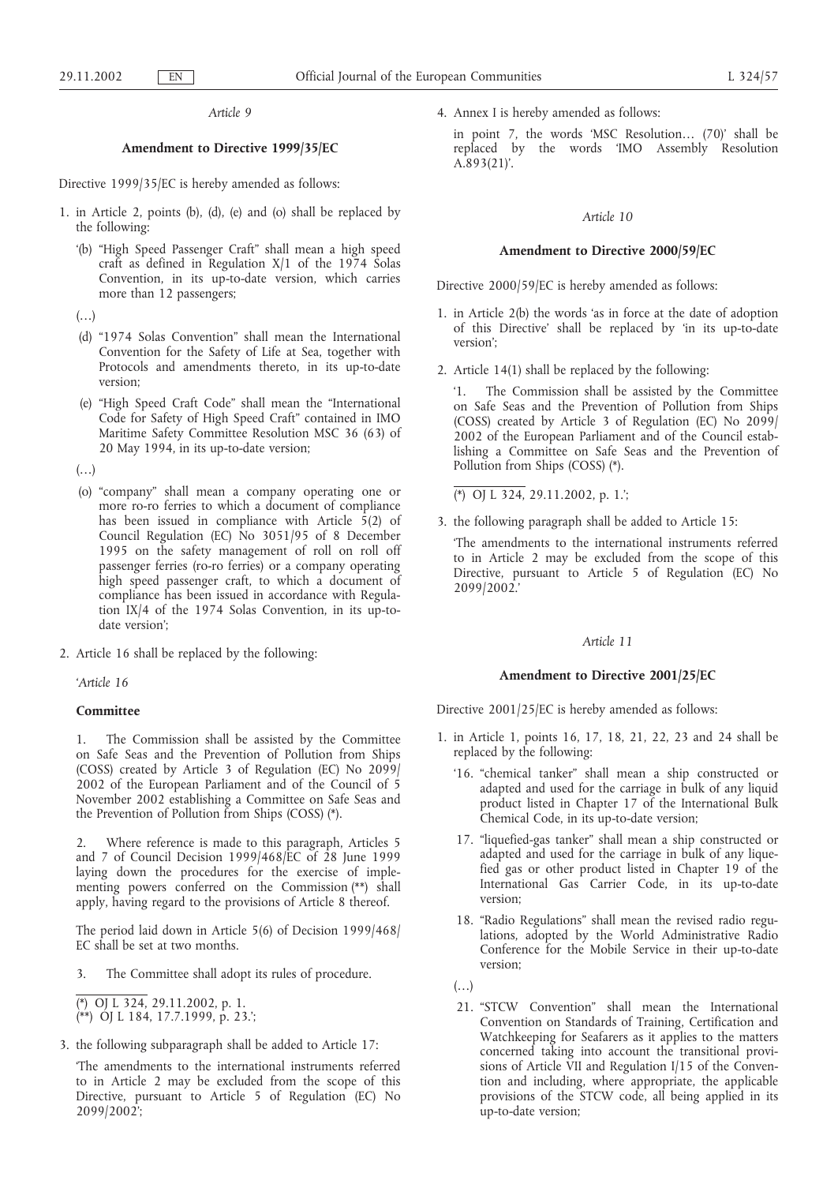*Article 9*

# **Amendment to Directive 1999/35/EC**

Directive 1999/35/EC is hereby amended as follows:

- 1. in Article 2, points (b), (d), (e) and (o) shall be replaced by the following:
	- '(b) "High Speed Passenger Craft" shall mean a high speed craft as defined in Regulation X/1 of the 1974 Solas Convention, in its up-to-date version, which carries more than 12 passengers;
	- $(\ldots)$
	- (d) "1974 Solas Convention" shall mean the International Convention for the Safety of Life at Sea, together with Protocols and amendments thereto, in its up-to-date version;
	- (e) "High Speed Craft Code" shall mean the "International Code for Safety of High Speed Craft" contained in IMO Maritime Safety Committee Resolution MSC 36 (63) of 20 May 1994, in its up-to-date version;

 $(\ldots)$ 

- (o) "company" shall mean a company operating one or more ro-ro ferries to which a document of compliance has been issued in compliance with Article  $\bar{5}(2)$  of Council Regulation (EC) No 3051/95 of 8 December 1995 on the safety management of roll on roll off passenger ferries (ro-ro ferries) or a company operating high speed passenger craft, to which a document of compliance has been issued in accordance with Regulation IX/4 of the 1974 Solas Convention, in its up-todate version';
- 2. Article 16 shall be replaced by the following:

*'Article 16*

#### **Committee**

1. The Commission shall be assisted by the Committee on Safe Seas and the Prevention of Pollution from Ships (COSS) created by Article 3 of Regulation (EC) No 2099/ 2002 of the European Parliament and of the Council of 5 November 2002 establishing a Committee on Safe Seas and the Prevention of Pollution from Ships (COSS) (\*).

2. Where reference is made to this paragraph, Articles 5 and 7 of Council Decision 1999/468/EC of 28 June 1999 laying down the procedures for the exercise of implementing powers conferred on the Commission (\*\*) shall apply, having regard to the provisions of Article 8 thereof.

The period laid down in Article 5(6) of Decision 1999/468/ EC shall be set at two months.

3. The Committee shall adopt its rules of procedure.

 $\overline{(*)}$  OJ L 324, 29.11.2002, p. 1. (\*\*) OJ L 184, 17.7.1999, p. 23.';

3. the following subparagraph shall be added to Article 17:

'The amendments to the international instruments referred to in Article 2 may be excluded from the scope of this Directive, pursuant to Article 5 of Regulation (EC) No 2099/2002';

4. Annex I is hereby amended as follows:

in point 7, the words 'MSC Resolution… (70)' shall be replaced by the words 'IMO Assembly Resolution A.893(21)'.

### *Article 10*

#### **Amendment to Directive 2000/59/EC**

Directive 2000/59/EC is hereby amended as follows:

- 1. in Article 2(b) the words 'as in force at the date of adoption of this Directive' shall be replaced by 'in its up-to-date version';
- 2. Article 14(1) shall be replaced by the following:

'1. The Commission shall be assisted by the Committee on Safe Seas and the Prevention of Pollution from Ships (COSS) created by Article 3 of Regulation (EC) No 2099/ 2002 of the European Parliament and of the Council establishing a Committee on Safe Seas and the Prevention of Pollution from Ships (COSS) (\*).

(\*) OJ L 324, 29.11.2002, p. 1.';

3. the following paragraph shall be added to Article 15:

'The amendments to the international instruments referred to in Article 2 may be excluded from the scope of this Directive, pursuant to Article 5 of Regulation (EC) No 2099/2002.'

# *Article 11*

### **Amendment to Directive 2001/25/EC**

Directive 2001/25/EC is hereby amended as follows:

- 1. in Article 1, points 16, 17, 18, 21, 22, 23 and 24 shall be replaced by the following:
	- '16. "chemical tanker" shall mean a ship constructed or adapted and used for the carriage in bulk of any liquid product listed in Chapter 17 of the International Bulk Chemical Code, in its up-to-date version;
	- 17. "liquefied-gas tanker" shall mean a ship constructed or adapted and used for the carriage in bulk of any liquefied gas or other product listed in Chapter 19 of the International Gas Carrier Code, in its up-to-date version;
	- 18. "Radio Regulations" shall mean the revised radio regulations, adopted by the World Administrative Radio Conference for the Mobile Service in their up-to-date version;

 $(\ldots)$ 

21. "STCW Convention" shall mean the International Convention on Standards of Training, Certification and Watchkeeping for Seafarers as it applies to the matters concerned taking into account the transitional provisions of Article VII and Regulation I/15 of the Convention and including, where appropriate, the applicable provisions of the STCW code, all being applied in its up-to-date version;